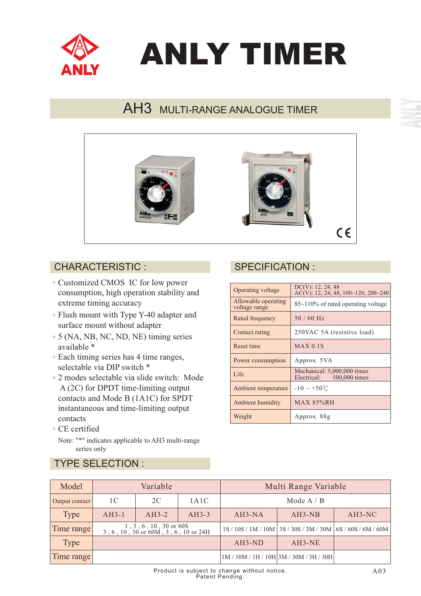

# ANLY TIMER

# AH3 MULTI-RANGE ANALOGUE TIMER



### CHARACTERISTIC : SPECIFICATION :

- Customized CMOS IC for low power consumption, high operation stability and extreme timing accuracy
- Flush mount with Type Y-40 adapter and surface mount without adapter
- 5 (NA, NB, NC, ND, NE) timing series available \*
- Each timing series has 4 time ranges, selectable via DIP switch \*
- 2 modes selectable via slide switch: Mode A (2C) for DPDT time-limiting output contacts and Mode B (1A1C) for SPDT instantaneous and time-limiting output contacts
- CE certified

TYPE SELECTION :

Note: "\*" indicates applicable to AH3 multi-range series only

| Operating voltage                    | DC(V): 12, 24, 48<br>AC(V): 12, 24, 48, $100~120$ , $200~240$ |
|--------------------------------------|---------------------------------------------------------------|
| Allowable operating<br>voltage range | $85\text{~}110\%$ of rated operating voltage                  |
| Rated frequency                      | $50/60$ Hz                                                    |
| Contact rating                       | 250VAC 5A (resistive load)                                    |
| Reset time                           | $MAX$ 0.1S                                                    |
| Power consumption                    | Approx. 5VA                                                   |
| Life                                 | Mechanical: 5,000,000 times<br>100,000 times<br>Electrical:   |
| Ambient temperature                  | $-10 \sim +50^{\circ}$ C                                      |
| Ambient humidity                     | MAX 85%RH                                                     |
| Weight                               | Approx. 88g                                                   |

| Model          | Variable                                                         |         |         | Multi Range Variable |                                           |                                                                 |
|----------------|------------------------------------------------------------------|---------|---------|----------------------|-------------------------------------------|-----------------------------------------------------------------|
| Output contact | 1 C                                                              | 2C      | 1A1C    | Mode $A / B$         |                                           |                                                                 |
| <b>Type</b>    | $AH3-1$                                                          | $AH3-2$ | $AH3-3$ | $AH3-NA$             | $AH3-NB$                                  | $AH3-NC$                                                        |
| Time range     | $1, 3, 6, 10, 30$ or 60S<br>3, 6, 10, 30 or 60M, 3, 6, 10 or 24H |         |         |                      |                                           | 1S / 10S / 1M / 10M   3S / 30S / 3M / 30M   6S / 60S / 6M / 60M |
| <b>Type</b>    |                                                                  |         |         | $AH3-ND$             | AH3-NE                                    |                                                                 |
| Time range     |                                                                  |         |         |                      | $1M / 10M / 1H / 10H$ 3M / 30M / 3H / 30H |                                                                 |